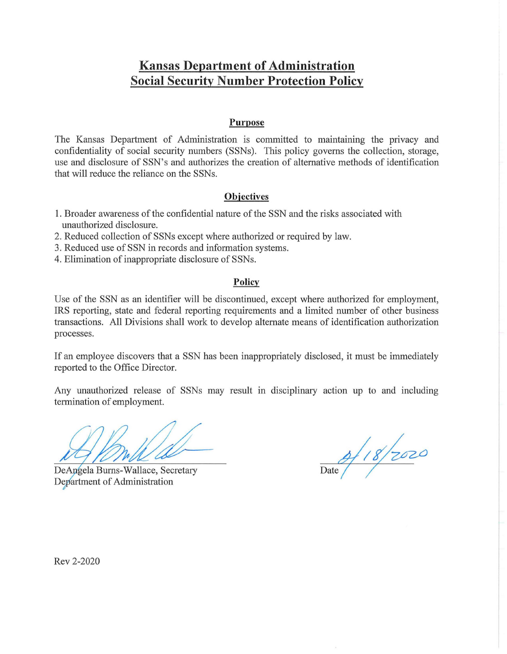## **Kansas Department of Administration Social Security Number Protection Policy**

#### **Purpose**

The Kansas Department of Administration is committed to maintaining the privacy and confidentiality of social security numbers (SSNs). This policy governs the collection, storage, use and disclosure of SSN's and authorizes the creation of alternative methods of identification that will reduce the reliance on the SSNs.

### **Objectives**

- 1. Broader awareness of the confidential nature of the SSN and the risks associated with unauthorized disclosure.
- 2. Reduced collection of SSNs except where authorized or required by law.
- 3. Reduced use of SSN in records and information systems.
- 4. Elimination of inappropriate disclosure of SSNs.

#### **Policy**

Use of the SSN as an identifier will be discontinued, except where authorized for employment, IRS reporting, state and federal reporting requirements and a limited number of other business transactions. All Divisions shall work to develop alternate means of identification authorization processes.

If an employee discovers that a SSN has been inappropriately disclosed, it must be immediately reported to the Office Director.

Any unauthorized release of SSNs may result in disciplinary action up to and including termination of employment.

DeAngela Burns-Wallace, Secretary Department of Administration

 $\frac{9}{2000}$ 

Rev 2-2020